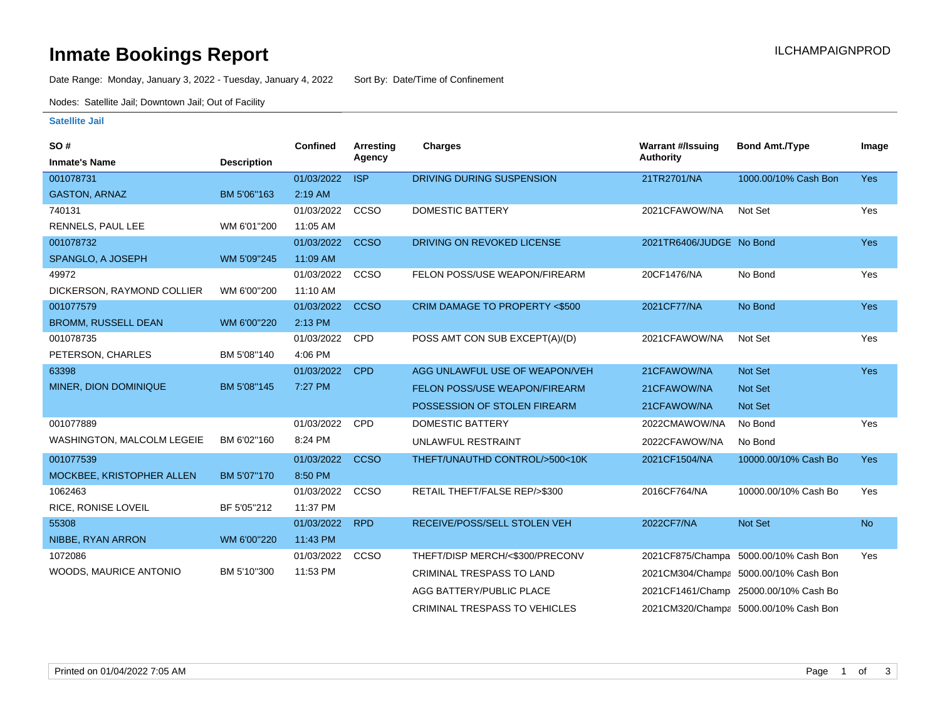# **Inmate Bookings Report Inmate Bookings Report**

Date Range: Monday, January 3, 2022 - Tuesday, January 4, 2022 Sort By: Date/Time of Confinement

Nodes: Satellite Jail; Downtown Jail; Out of Facility

#### **Satellite Jail**

| SO#                        |                    | <b>Confined</b> | Arresting   | <b>Charges</b>                       | <b>Warrant #/Issuing</b> | <b>Bond Amt./Type</b>                 | Image      |
|----------------------------|--------------------|-----------------|-------------|--------------------------------------|--------------------------|---------------------------------------|------------|
| <b>Inmate's Name</b>       | <b>Description</b> |                 | Agency      |                                      | Authority                |                                       |            |
| 001078731                  |                    | 01/03/2022      | <b>ISP</b>  | DRIVING DURING SUSPENSION            | 21TR2701/NA              | 1000.00/10% Cash Bon                  | Yes        |
| <b>GASTON, ARNAZ</b>       | BM 5'06"163        | 2:19 AM         |             |                                      |                          |                                       |            |
| 740131                     |                    | 01/03/2022      | CCSO        | <b>DOMESTIC BATTERY</b>              | 2021CFAWOW/NA            | Not Set                               | Yes        |
| RENNELS, PAUL LEE          | WM 6'01"200        | 11:05 AM        |             |                                      |                          |                                       |            |
| 001078732                  |                    | 01/03/2022      | <b>CCSO</b> | DRIVING ON REVOKED LICENSE           | 2021TR6406/JUDGE No Bond |                                       | Yes        |
| SPANGLO, A JOSEPH          | WM 5'09"245        | 11:09 AM        |             |                                      |                          |                                       |            |
| 49972                      |                    | 01/03/2022      | CCSO        | FELON POSS/USE WEAPON/FIREARM        | 20CF1476/NA              | No Bond                               | Yes        |
| DICKERSON, RAYMOND COLLIER | WM 6'00"200        | 11:10 AM        |             |                                      |                          |                                       |            |
| 001077579                  |                    | 01/03/2022      | <b>CCSO</b> | CRIM DAMAGE TO PROPERTY <\$500       | 2021CF77/NA              | No Bond                               | Yes        |
| <b>BROMM, RUSSELL DEAN</b> | WM 6'00"220        | 2:13 PM         |             |                                      |                          |                                       |            |
| 001078735                  |                    | 01/03/2022      | <b>CPD</b>  | POSS AMT CON SUB EXCEPT(A)/(D)       | 2021CFAWOW/NA            | Not Set                               | Yes        |
| PETERSON, CHARLES          | BM 5'08"140        | 4:06 PM         |             |                                      |                          |                                       |            |
| 63398                      |                    | 01/03/2022      | <b>CPD</b>  | AGG UNLAWFUL USE OF WEAPON/VEH       | 21CFAWOW/NA              | <b>Not Set</b>                        | <b>Yes</b> |
| MINER, DION DOMINIQUE      | BM 5'08"145        | 7:27 PM         |             | FELON POSS/USE WEAPON/FIREARM        | 21CFAWOW/NA              | <b>Not Set</b>                        |            |
|                            |                    |                 |             | POSSESSION OF STOLEN FIREARM         | 21CFAWOW/NA              | <b>Not Set</b>                        |            |
| 001077889                  |                    | 01/03/2022      | CPD         | <b>DOMESTIC BATTERY</b>              | 2022CMAWOW/NA            | No Bond                               | Yes        |
| WASHINGTON, MALCOLM LEGEIE | BM 6'02"160        | 8:24 PM         |             | UNLAWFUL RESTRAINT                   | 2022CFAWOW/NA            | No Bond                               |            |
| 001077539                  |                    | 01/03/2022      | <b>CCSO</b> | THEFT/UNAUTHD CONTROL/>500<10K       | 2021CF1504/NA            | 10000.00/10% Cash Bo                  | <b>Yes</b> |
| MOCKBEE, KRISTOPHER ALLEN  | BM 5'07"170        | 8:50 PM         |             |                                      |                          |                                       |            |
| 1062463                    |                    | 01/03/2022      | CCSO        | RETAIL THEFT/FALSE REP/>\$300        | 2016CF764/NA             | 10000.00/10% Cash Bo                  | Yes        |
| RICE, RONISE LOVEIL        | BF 5'05"212        | 11:37 PM        |             |                                      |                          |                                       |            |
| 55308                      |                    | 01/03/2022      | <b>RPD</b>  | RECEIVE/POSS/SELL STOLEN VEH         | 2022CF7/NA               | Not Set                               | <b>No</b>  |
| NIBBE, RYAN ARRON          | WM 6'00"220        | 11:43 PM        |             |                                      |                          |                                       |            |
| 1072086                    |                    | 01/03/2022      | <b>CCSO</b> | THEFT/DISP MERCH/<\$300/PRECONV      |                          | 2021CF875/Champa 5000.00/10% Cash Bon | Yes        |
| WOODS, MAURICE ANTONIO     | BM 5'10"300        | 11:53 PM        |             | <b>CRIMINAL TRESPASS TO LAND</b>     |                          | 2021CM304/Champa 5000.00/10% Cash Bon |            |
|                            |                    |                 |             | AGG BATTERY/PUBLIC PLACE             |                          | 2021CF1461/Champ 25000.00/10% Cash Bo |            |
|                            |                    |                 |             | <b>CRIMINAL TRESPASS TO VEHICLES</b> |                          | 2021CM320/Champa 5000.00/10% Cash Bon |            |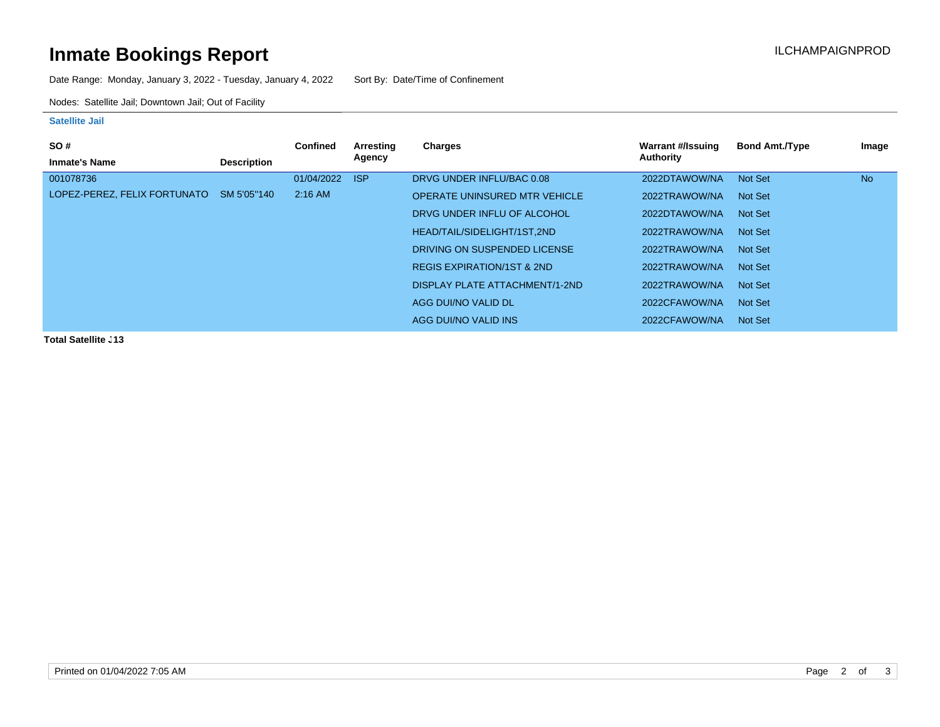# **Inmate Bookings Report Installation Control Control Control Control Control Control Control Control Control Control Control Control Control Control Control Control Control Control Control Control Control Control Control**

Date Range: Monday, January 3, 2022 - Tuesday, January 4, 2022 Sort By: Date/Time of Confinement

Nodes: Satellite Jail; Downtown Jail; Out of Facility

### **Satellite Jail**

| <b>SO#</b>                   |                    | <b>Confined</b> | Arresting  | Charges                               | Warrant #/Issuing | <b>Bond Amt./Type</b> | Image     |
|------------------------------|--------------------|-----------------|------------|---------------------------------------|-------------------|-----------------------|-----------|
| <b>Inmate's Name</b>         | <b>Description</b> |                 | Agency     |                                       | Authority         |                       |           |
| 001078736                    |                    | 01/04/2022      | <b>ISP</b> | DRVG UNDER INFLU/BAC 0.08             | 2022DTAWOW/NA     | Not Set               | <b>No</b> |
| LOPEZ-PEREZ, FELIX FORTUNATO | SM 5'05"140        | $2:16$ AM       |            | <b>OPERATE UNINSURED MTR VEHICLE</b>  | 2022TRAWOW/NA     | Not Set               |           |
|                              |                    |                 |            | DRVG UNDER INFLU OF ALCOHOL           | 2022DTAWOW/NA     | Not Set               |           |
|                              |                    |                 |            | HEAD/TAIL/SIDELIGHT/1ST.2ND           | 2022TRAWOW/NA     | Not Set               |           |
|                              |                    |                 |            | DRIVING ON SUSPENDED LICENSE          | 2022TRAWOW/NA     | Not Set               |           |
|                              |                    |                 |            | <b>REGIS EXPIRATION/1ST &amp; 2ND</b> | 2022TRAWOW/NA     | Not Set               |           |
|                              |                    |                 |            | <b>DISPLAY PLATE ATTACHMENT/1-2ND</b> | 2022TRAWOW/NA     | Not Set               |           |
|                              |                    |                 |            | AGG DUI/NO VALID DL                   | 2022CFAWOW/NA     | Not Set               |           |
|                              |                    |                 |            | AGG DUI/NO VALID INS                  | 2022CFAWOW/NA     | Not Set               |           |

**Total Satellite J13**